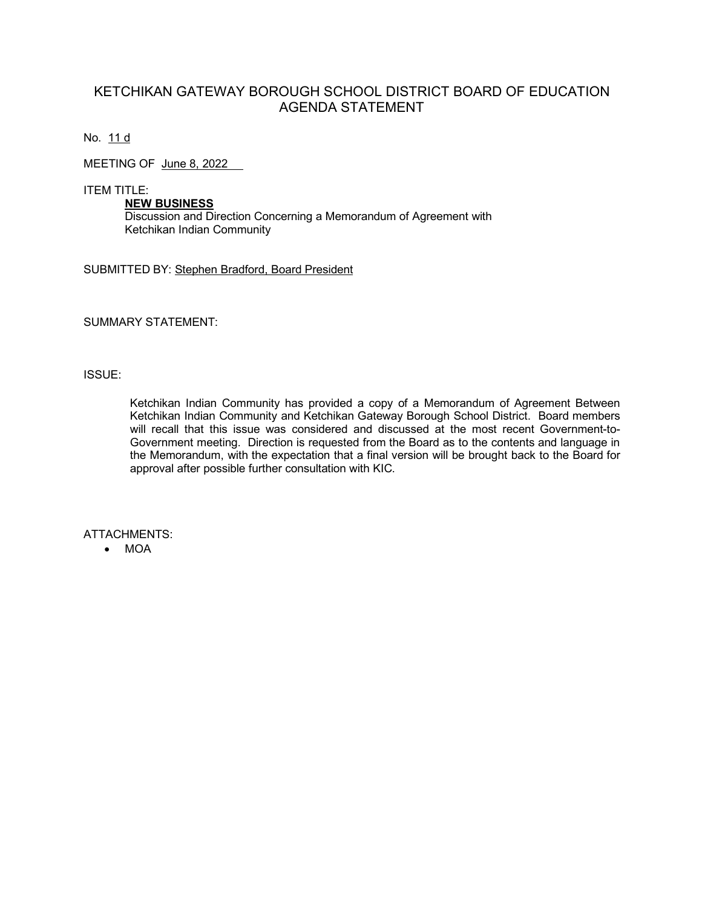## KETCHIKAN GATEWAY BOROUGH SCHOOL DISTRICT BOARD OF EDUCATION AGENDA STATEMENT

No. 11 d

MEETING OF June 8, 2022

ITEM TITLE:

**NEW BUSINESS** Discussion and Direction Concerning a Memorandum of Agreement with Ketchikan Indian Community

SUBMITTED BY: Stephen Bradford, Board President

SUMMARY STATEMENT:

#### ISSUE:

Ketchikan Indian Community has provided a copy of a Memorandum of Agreement Between Ketchikan Indian Community and Ketchikan Gateway Borough School District. Board members will recall that this issue was considered and discussed at the most recent Government-to-Government meeting. Direction is requested from the Board as to the contents and language in the Memorandum, with the expectation that a final version will be brought back to the Board for approval after possible further consultation with KIC.

ATTACHMENTS:

• MOA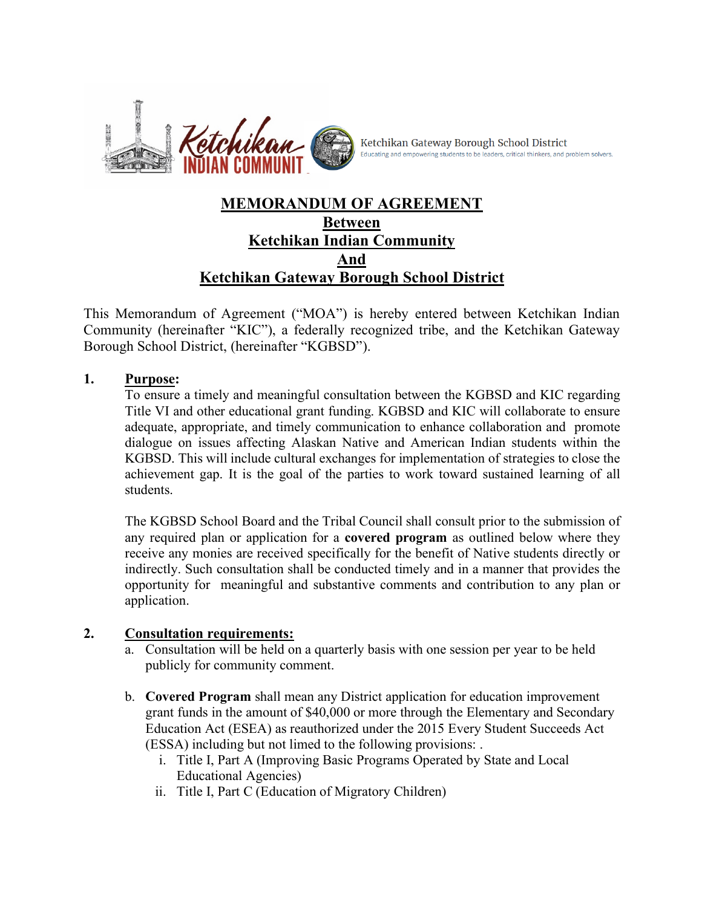

Ketchikan Gateway Borough School District Educating and empowering students to be leaders, critical thinkers, and problem solvers.

# **MEMORANDUM OF AGREEMENT Between Ketchikan Indian Community And Ketchikan Gateway Borough School District**

This Memorandum of Agreement ("MOA") is hereby entered between Ketchikan Indian Community (hereinafter "KIC"), a federally recognized tribe, and the Ketchikan Gateway Borough School District, (hereinafter "KGBSD").

#### **1. Purpose:**

To ensure a timely and meaningful consultation between the KGBSD and KIC regarding Title VI and other educational grant funding. KGBSD and KIC will collaborate to ensure adequate, appropriate, and timely communication to enhance collaboration and promote dialogue on issues affecting Alaskan Native and American Indian students within the KGBSD. This will include cultural exchanges for implementation of strategies to close the achievement gap. It is the goal of the parties to work toward sustained learning of all students.

The KGBSD School Board and the Tribal Council shall consult prior to the submission of any required plan or application for a **covered program** as outlined below where they receive any monies are received specifically for the benefit of Native students directly or indirectly. Such consultation shall be conducted timely and in a manner that provides the opportunity for meaningful and substantive comments and contribution to any plan or application.

## **2. Consultation requirements:**

- a. Consultation will be held on a quarterly basis with one session per year to be held publicly for community comment.
- b. **Covered Program** shall mean any District application for education improvement grant funds in the amount of \$40,000 or more through the Elementary and Secondary Education Act (ESEA) as reauthorized under the 2015 Every Student Succeeds Act (ESSA) including but not limed to the following provisions: .
	- i. Title I, Part A (Improving Basic Programs Operated by State and Local Educational Agencies)
	- ii. Title I, Part C (Education of Migratory Children)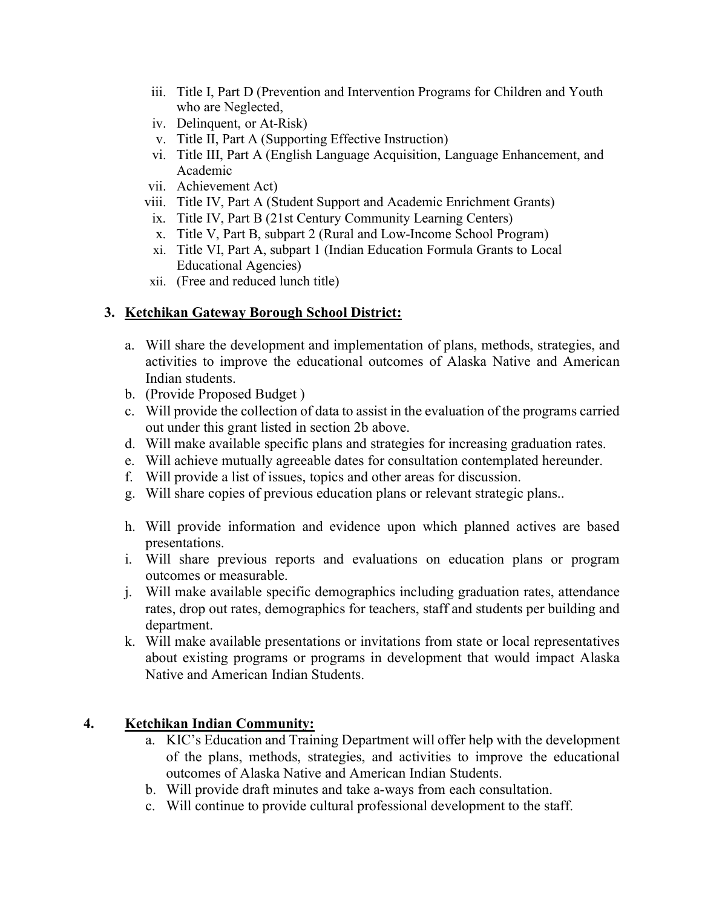- iii. Title I, Part D (Prevention and Intervention Programs for Children and Youth who are Neglected,
- iv. Delinquent, or At-Risk)
- v. Title II, Part A (Supporting Effective Instruction)
- vi. Title III, Part A (English Language Acquisition, Language Enhancement, and Academic
- vii. Achievement Act)
- viii. Title IV, Part A (Student Support and Academic Enrichment Grants)
	- ix. Title IV, Part B (21st Century Community Learning Centers)
	- x. Title V, Part B, subpart 2 (Rural and Low-Income School Program)
- xi. Title VI, Part A, subpart 1 (Indian Education Formula Grants to Local Educational Agencies)
- xii. (Free and reduced lunch title)

## **3. Ketchikan Gateway Borough School District:**

- a. Will share the development and implementation of plans, methods, strategies, and activities to improve the educational outcomes of Alaska Native and American Indian students.
- b. (Provide Proposed Budget )
- c. Will provide the collection of data to assist in the evaluation of the programs carried out under this grant listed in section 2b above.
- d. Will make available specific plans and strategies for increasing graduation rates.
- e. Will achieve mutually agreeable dates for consultation contemplated hereunder.
- f. Will provide a list of issues, topics and other areas for discussion.
- g. Will share copies of previous education plans or relevant strategic plans..
- h. Will provide information and evidence upon which planned actives are based presentations.
- i. Will share previous reports and evaluations on education plans or program outcomes or measurable.
- j. Will make available specific demographics including graduation rates, attendance rates, drop out rates, demographics for teachers, staff and students per building and department.
- k. Will make available presentations or invitations from state or local representatives about existing programs or programs in development that would impact Alaska Native and American Indian Students.

## **4. Ketchikan Indian Community:**

- a. KIC's Education and Training Department will offer help with the development of the plans, methods, strategies, and activities to improve the educational outcomes of Alaska Native and American Indian Students.
- b. Will provide draft minutes and take a-ways from each consultation.
- c. Will continue to provide cultural professional development to the staff.